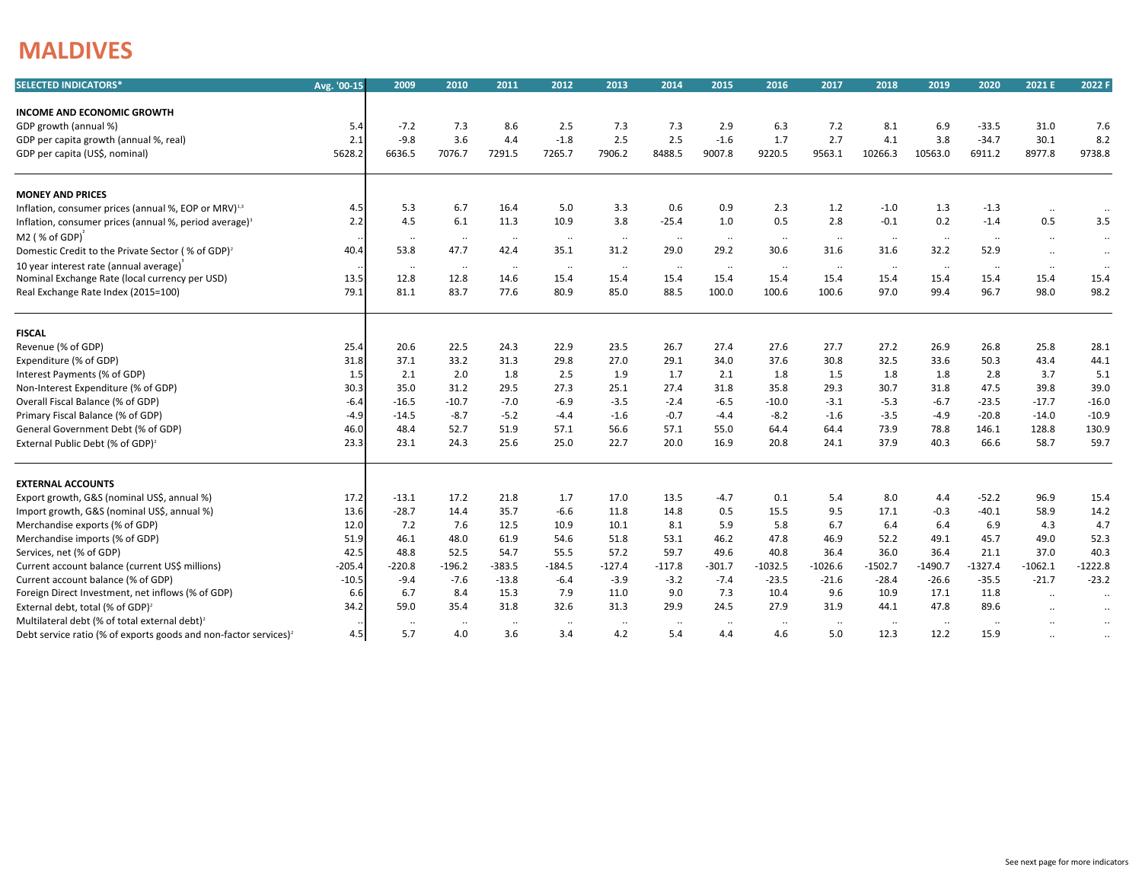## **MALDIVES**

| <b>SELECTED INDICATORS*</b>                                                  | Avg. '00-15 | 2009         | 2010         | 2011      | 2012     | 2013      | 2014         | 2015     | 2016         | 2017         | 2018      | 2019         | 2020      | 2021 E               | 2022 F       |
|------------------------------------------------------------------------------|-------------|--------------|--------------|-----------|----------|-----------|--------------|----------|--------------|--------------|-----------|--------------|-----------|----------------------|--------------|
| <b>INCOME AND ECONOMIC GROWTH</b>                                            |             |              |              |           |          |           |              |          |              |              |           |              |           |                      |              |
| GDP growth (annual %)                                                        | 5.4         | $-7.2$       | 7.3          | 8.6       | 2.5      | 7.3       | 7.3          | 2.9      | 6.3          | 7.2          | 8.1       | 6.9          | $-33.5$   | 31.0                 | 7.6          |
| GDP per capita growth (annual %, real)                                       | 2.1         | $-9.8$       | 3.6          | 4.4       | $-1.8$   | 2.5       | 2.5          | $-1.6$   | 1.7          | 2.7          | 4.1       | 3.8          | $-34.7$   | 30.1                 | 8.2          |
| GDP per capita (US\$, nominal)                                               | 5628.2      | 6636.5       | 7076.7       | 7291.5    | 7265.7   | 7906.2    | 8488.5       | 9007.8   | 9220.5       | 9563.1       | 10266.3   | 10563.0      | 6911.2    | 8977.8               | 9738.8       |
|                                                                              |             |              |              |           |          |           |              |          |              |              |           |              |           |                      |              |
| <b>MONEY AND PRICES</b>                                                      |             |              |              |           |          |           |              |          |              |              |           |              |           |                      |              |
| Inflation, consumer prices (annual %, EOP or MRV) <sup>1,3</sup>             | 4.5         | 5.3          | 6.7          | 16.4      | 5.0      | 3.3       | 0.6          | 0.9      | 2.3          | 1.2          | $-1.0$    | 1.3          | $-1.3$    | $\ddotsc$            | $\cdot$ .    |
| Inflation, consumer prices (annual %, period average) <sup>3</sup>           | 2.2         | 4.5          | 6.1          | 11.3      | 10.9     | 3.8       | $-25.4$      | 1.0      | 0.5          | 2.8          | $-0.1$    | 0.2          | $-1.4$    | 0.5                  | 3.5          |
| M2 (% of GDP)                                                                |             | $\ldots$     | $\cdots$     | $\cdots$  | $\ldots$ | $\sim$    | $\ldots$     | $\cdot$  | $\ldots$     | $\cdot\cdot$ | $\sim$    | $\ldots$     | $\cdot$ . | $\ddotsc$            | $\cdot$ .    |
| Domestic Credit to the Private Sector (% of GDP) <sup>2</sup>                | 40.4        | 53.8         | 47.7         | 42.4      | 35.1     | 31.2      | 29.0         | 29.2     | 30.6         | 31.6         | 31.6      | 32.2         | 52.9      | $\ddotsc$            | $\ldots$     |
| 10 year interest rate (annual average)                                       |             | $\cdot\cdot$ | $\cdot\cdot$ | $\cdots$  | $\cdots$ | $\cdots$  | $\cdot\cdot$ | $\cdot$  | $\cdot\cdot$ | $\cdot\cdot$ | $\cdots$  | $\cdot\cdot$ | $\cdots$  | $\cdot\cdot$         | $\cdot\cdot$ |
| Nominal Exchange Rate (local currency per USD)                               | 13.5        | 12.8         | 12.8         | 14.6      | 15.4     | 15.4      | 15.4         | 15.4     | 15.4         | 15.4         | 15.4      | 15.4         | 15.4      | 15.4                 | 15.4         |
| Real Exchange Rate Index (2015=100)                                          | 79.1        | 81.1         | 83.7         | 77.6      | 80.9     | 85.0      | 88.5         | 100.0    | 100.6        | 100.6        | 97.0      | 99.4         | 96.7      | 98.0                 | 98.2         |
|                                                                              |             |              |              |           |          |           |              |          |              |              |           |              |           |                      |              |
| <b>FISCAL</b>                                                                |             |              |              |           |          |           |              |          |              |              |           |              |           |                      |              |
| Revenue (% of GDP)                                                           | 25.4        | 20.6         | 22.5         | 24.3      | 22.9     | 23.5      | 26.7         | 27.4     | 27.6         | 27.7         | 27.2      | 26.9         | 26.8      | 25.8                 | 28.1         |
| Expenditure (% of GDP)                                                       | 31.8        | 37.1         | 33.2         | 31.3      | 29.8     | 27.0      | 29.1         | 34.0     | 37.6         | 30.8         | 32.5      | 33.6         | 50.3      | 43.4                 | 44.1         |
| Interest Payments (% of GDP)                                                 | 1.5         | 2.1          | 2.0          | 1.8       | 2.5      | 1.9       | 1.7          | 2.1      | 1.8          | 1.5          | 1.8       | 1.8          | 2.8       | 3.7                  | 5.1          |
| Non-Interest Expenditure (% of GDP)                                          | 30.3        | 35.0         | 31.2         | 29.5      | 27.3     | 25.1      | 27.4         | 31.8     | 35.8         | 29.3         | 30.7      | 31.8         | 47.5      | 39.8                 | 39.0         |
| Overall Fiscal Balance (% of GDP)                                            | $-6.4$      | $-16.5$      | $-10.7$      | $-7.0$    | $-6.9$   | $-3.5$    | $-2.4$       | $-6.5$   | $-10.0$      | $-3.1$       | $-5.3$    | $-6.7$       | $-23.5$   | $-17.7$              | $-16.0$      |
| Primary Fiscal Balance (% of GDP)                                            | -4.9        | $-14.5$      | $-8.7$       | $-5.2$    | $-4.4$   | $-1.6$    | $-0.7$       | $-4.4$   | $-8.2$       | $-1.6$       | $-3.5$    | $-4.9$       | $-20.8$   | $-14.0$              | $-10.9$      |
| General Government Debt (% of GDP)                                           | 46.0        | 48.4         | 52.7         | 51.9      | 57.1     | 56.6      | 57.1         | 55.0     | 64.4         | 64.4         | 73.9      | 78.8         | 146.1     | 128.8                | 130.9        |
| External Public Debt (% of GDP) <sup>2</sup>                                 | 23.3        | 23.1         | 24.3         | 25.6      | 25.0     | 22.7      | 20.0         | 16.9     | 20.8         | 24.1         | 37.9      | 40.3         | 66.6      | 58.7                 | 59.7         |
|                                                                              |             |              |              |           |          |           |              |          |              |              |           |              |           |                      |              |
| <b>EXTERNAL ACCOUNTS</b>                                                     |             |              |              |           |          |           |              |          |              |              |           |              |           |                      |              |
| Export growth, G&S (nominal US\$, annual %)                                  | 17.2        | $-13.1$      | 17.2         | 21.8      | 1.7      | 17.0      | 13.5         | $-4.7$   | 0.1          | 5.4          | 8.0       | 4.4          | $-52.2$   | 96.9                 | 15.4         |
| Import growth, G&S (nominal US\$, annual %)                                  | 13.6        | $-28.7$      | 14.4         | 35.7      | $-6.6$   | 11.8      | 14.8         | 0.5      | 15.5         | 9.5          | 17.1      | $-0.3$       | $-40.1$   | 58.9                 | 14.2         |
| Merchandise exports (% of GDP)                                               | 12.0        | 7.2          | 7.6          | 12.5      | 10.9     | 10.1      | 8.1          | 5.9      | 5.8          | 6.7          | 6.4       | 6.4          | 6.9       | 4.3                  | 4.7          |
| Merchandise imports (% of GDP)                                               | 51.9        | 46.1         | 48.0         | 61.9      | 54.6     | 51.8      | 53.1         | 46.2     | 47.8         | 46.9         | 52.2      | 49.1         | 45.7      | 49.0                 | 52.3         |
| Services, net (% of GDP)                                                     | 42.5        | 48.8         | 52.5         | 54.7      | 55.5     | 57.2      | 59.7         | 49.6     | 40.8         | 36.4         | 36.0      | 36.4         | 21.1      | 37.0                 | 40.3         |
| Current account balance (current US\$ millions)                              | $-205.4$    | $-220.8$     | $-196.2$     | $-383.5$  | $-184.5$ | $-127.4$  | $-117.8$     | $-301.7$ | $-1032.5$    | $-1026.6$    | $-1502.7$ | $-1490.7$    | $-1327.4$ | $-1062.1$            | $-1222.8$    |
| Current account balance (% of GDP)                                           | $-10.5$     | $-9.4$       | $-7.6$       | $-13.8$   | $-6.4$   | $-3.9$    | $-3.2$       | $-7.4$   | $-23.5$      | $-21.6$      | $-28.4$   | $-26.6$      | $-35.5$   | $-21.7$              | $-23.2$      |
| Foreign Direct Investment, net inflows (% of GDP)                            | 6.6         | 6.7          | 8.4          | 15.3      | 7.9      | 11.0      | 9.0          | 7.3      | 10.4         | 9.6          | 10.9      | 17.1         | 11.8      | $\ddot{\phantom{a}}$ | $\cdot$ .    |
| External debt, total (% of GDP) <sup>2</sup>                                 | 34.2        | 59.0         | 35.4         | 31.8      | 32.6     | 31.3      | 29.9         | 24.5     | 27.9         | 31.9         | 44.1      | 47.8         | 89.6      | $\ddotsc$            | $\ldots$     |
| Multilateral debt (% of total external debt) <sup>2</sup>                    |             |              | $\cdot\cdot$ | $\cdot$ . |          | $\cdot$ . | $\cdot$      |          |              |              |           |              |           |                      |              |
| Debt service ratio (% of exports goods and non-factor services) <sup>2</sup> | 4.5         | 5.7          | 4.0          | 3.6       | 3.4      | 4.2       | 5.4          | 4.4      | 4.6          | 5.0          | 12.3      | 12.2         | 15.9      | $\ddotsc$            | $\ddotsc$    |